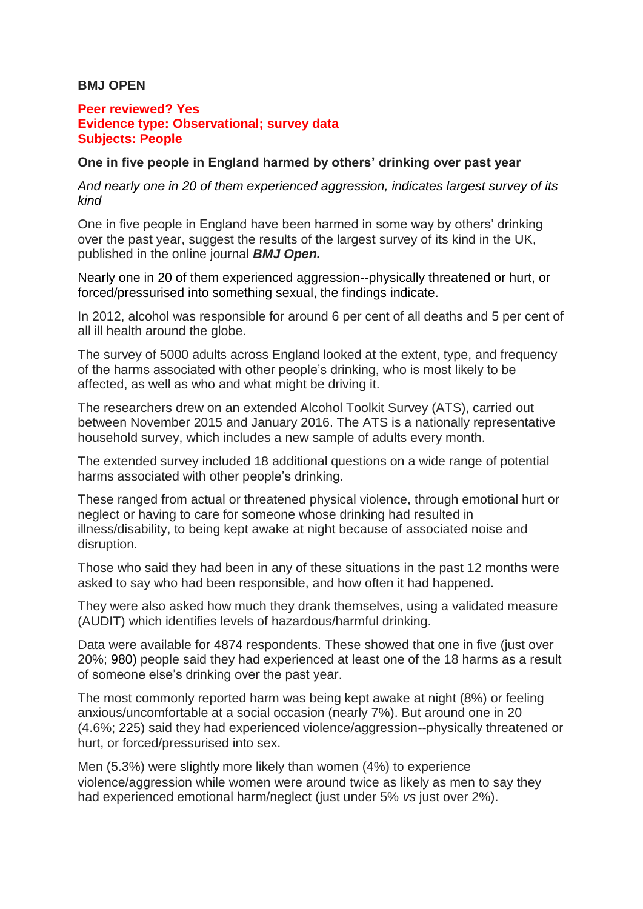## **BMJ OPEN**

## **Peer reviewed? Yes Evidence type: Observational; survey data Subjects: People**

## **One in five people in England harmed by others' drinking over past year**

*And nearly one in 20 of them experienced aggression, indicates largest survey of its kind*

One in five people in England have been harmed in some way by others' drinking over the past year, suggest the results of the largest survey of its kind in the UK, published in the online journal *BMJ Open.*

Nearly one in 20 of them experienced aggression--physically threatened or hurt, or forced/pressurised into something sexual, the findings indicate.

In 2012, alcohol was responsible for around 6 per cent of all deaths and 5 per cent of all ill health around the globe.

The survey of 5000 adults across England looked at the extent, type, and frequency of the harms associated with other people's drinking, who is most likely to be affected, as well as who and what might be driving it.

The researchers drew on an extended Alcohol Toolkit Survey (ATS), carried out between November 2015 and January 2016. The ATS is a nationally representative household survey, which includes a new sample of adults every month.

The extended survey included 18 additional questions on a wide range of potential harms associated with other people's drinking.

These ranged from actual or threatened physical violence, through emotional hurt or neglect or having to care for someone whose drinking had resulted in illness/disability, to being kept awake at night because of associated noise and disruption.

Those who said they had been in any of these situations in the past 12 months were asked to say who had been responsible, and how often it had happened.

They were also asked how much they drank themselves, using a validated measure (AUDIT) which identifies levels of hazardous/harmful drinking.

Data were available for 4874 respondents. These showed that one in five (just over 20%; 980) people said they had experienced at least one of the 18 harms as a result of someone else's drinking over the past year.

The most commonly reported harm was being kept awake at night (8%) or feeling anxious/uncomfortable at a social occasion (nearly 7%). But around one in 20 (4.6%; 225) said they had experienced violence/aggression--physically threatened or hurt, or forced/pressurised into sex.

Men (5.3%) were slightly more likely than women (4%) to experience violence/aggression while women were around twice as likely as men to say they had experienced emotional harm/neglect (just under 5% *vs* just over 2%).